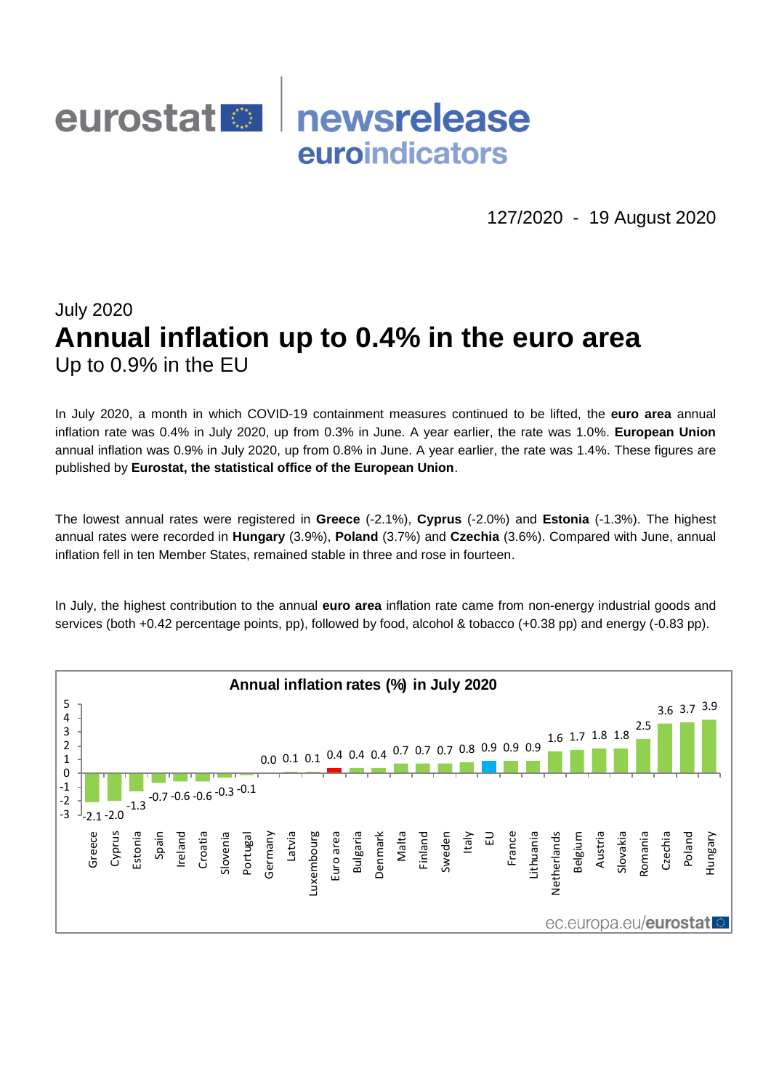## newsrelease eurostat <sup>o</sup> euroindicators

127/2020 - 19 August 2020

# July 2020 **Annual inflation up to 0.4% in the euro area** Up to 0.9% in the EU

In July 2020, a month in which COVID-19 containment measures continued to be lifted, the **euro area** annual inflation rate was 0.4% in July 2020, up from 0.3% in June. A year earlier, the rate was 1.0%. **European Union** annual inflation was 0.9% in July 2020, up from 0.8% in June. A year earlier, the rate was 1.4%. These figures are published by **Eurostat, the statistical office of the European Union**.

The lowest annual rates were registered in **Greece** (-2.1%), **Cyprus** (-2.0%) and **Estonia** (-1.3%). The highest annual rates were recorded in **Hungary** (3.9%), **Poland** (3.7%) and **Czechia** (3.6%). Compared with June, annual inflation fell in ten Member States, remained stable in three and rose in fourteen.

In July, the highest contribution to the annual **euro area** inflation rate came from non-energy industrial goods and services (both +0.42 percentage points, pp), followed by food, alcohol & tobacco (+0.38 pp) and energy (-0.83 pp).

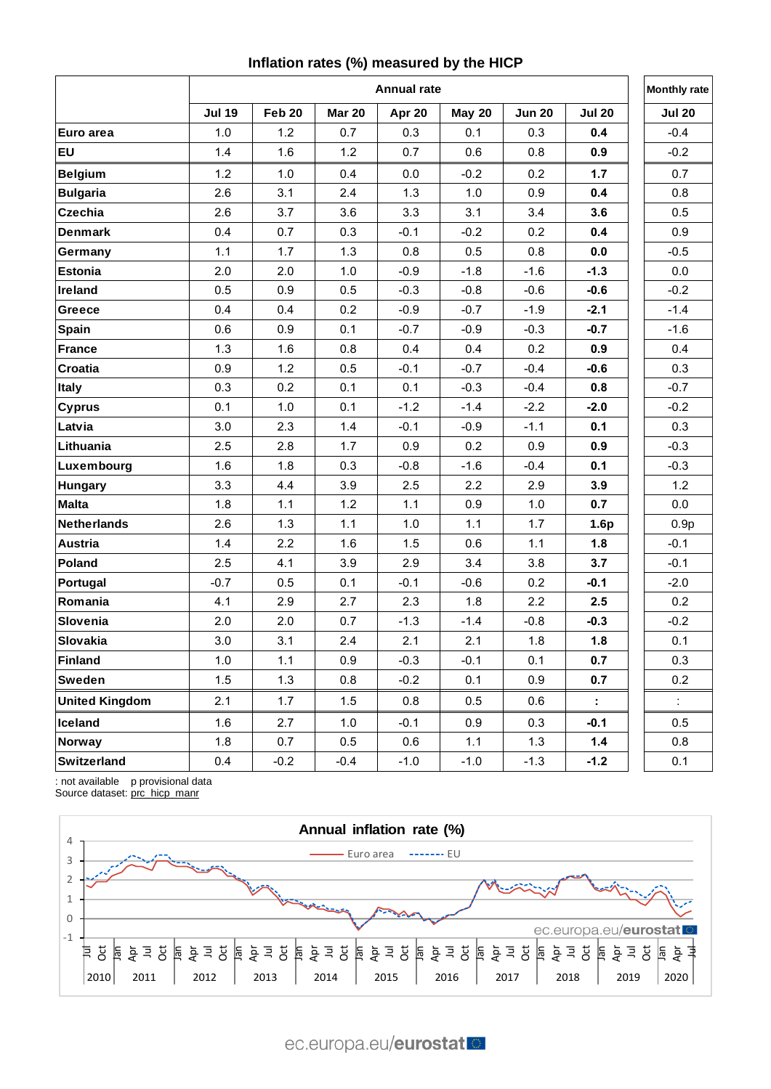## **Inflation rates (%) measured by the HICP**

|                       | <b>Annual rate</b> |        |               |        |               |               |                | <b>Monthly rate</b> |
|-----------------------|--------------------|--------|---------------|--------|---------------|---------------|----------------|---------------------|
|                       | <b>Jul 19</b>      | Feb 20 | <b>Mar 20</b> | Apr 20 | <b>May 20</b> | <b>Jun 20</b> | <b>Jul 20</b>  | <b>Jul 20</b>       |
| Euro area             | 1.0                | 1.2    | 0.7           | 0.3    | 0.1           | 0.3           | 0.4            | $-0.4$              |
| <b>EU</b>             | 1.4                | 1.6    | $1.2$         | 0.7    | 0.6           | 0.8           | 0.9            | $-0.2$              |
| <b>Belgium</b>        | 1.2                | 1.0    | 0.4           | 0.0    | $-0.2$        | 0.2           | 1.7            | 0.7                 |
| <b>Bulgaria</b>       | 2.6                | 3.1    | 2.4           | 1.3    | 1.0           | 0.9           | 0.4            | 0.8                 |
| <b>Czechia</b>        | 2.6                | 3.7    | 3.6           | 3.3    | 3.1           | 3.4           | 3.6            | 0.5                 |
| <b>Denmark</b>        | 0.4                | 0.7    | 0.3           | $-0.1$ | $-0.2$        | 0.2           | 0.4            | 0.9                 |
| Germany               | 1.1                | 1.7    | 1.3           | 0.8    | 0.5           | 0.8           | 0.0            | $-0.5$              |
| <b>Estonia</b>        | 2.0                | 2.0    | 1.0           | $-0.9$ | $-1.8$        | $-1.6$        | $-1.3$         | 0.0                 |
| Ireland               | 0.5                | 0.9    | 0.5           | $-0.3$ | $-0.8$        | $-0.6$        | $-0.6$         | $-0.2$              |
| Greece                | 0.4                | 0.4    | 0.2           | $-0.9$ | $-0.7$        | $-1.9$        | $-2.1$         | $-1.4$              |
| Spain                 | 0.6                | 0.9    | 0.1           | $-0.7$ | $-0.9$        | $-0.3$        | $-0.7$         | $-1.6$              |
| <b>France</b>         | 1.3                | 1.6    | 0.8           | 0.4    | 0.4           | 0.2           | 0.9            | 0.4                 |
| Croatia               | 0.9                | 1.2    | 0.5           | $-0.1$ | $-0.7$        | $-0.4$        | $-0.6$         | 0.3                 |
| <b>Italy</b>          | 0.3                | 0.2    | 0.1           | 0.1    | $-0.3$        | $-0.4$        | 0.8            | $-0.7$              |
| <b>Cyprus</b>         | 0.1                | 1.0    | 0.1           | $-1.2$ | $-1.4$        | $-2.2$        | $-2.0$         | $-0.2$              |
| Latvia                | 3.0                | 2.3    | 1.4           | $-0.1$ | $-0.9$        | $-1.1$        | 0.1            | 0.3                 |
| Lithuania             | 2.5                | 2.8    | 1.7           | 0.9    | 0.2           | 0.9           | 0.9            | $-0.3$              |
| Luxembourg            | 1.6                | 1.8    | 0.3           | $-0.8$ | $-1.6$        | $-0.4$        | 0.1            | $-0.3$              |
| <b>Hungary</b>        | 3.3                | 4.4    | 3.9           | 2.5    | 2.2           | 2.9           | 3.9            | 1.2                 |
| Malta                 | 1.8                | 1.1    | 1.2           | 1.1    | 0.9           | 1.0           | 0.7            | 0.0                 |
| <b>Netherlands</b>    | 2.6                | 1.3    | 1.1           | 1.0    | 1.1           | 1.7           | 1.6p           | 0.9 <sub>p</sub>    |
| Austria               | 1.4                | 2.2    | 1.6           | 1.5    | 0.6           | 1.1           | 1.8            | $-0.1$              |
| Poland                | 2.5                | 4.1    | 3.9           | 2.9    | 3.4           | 3.8           | 3.7            | $-0.1$              |
| Portugal              | $-0.7$             | 0.5    | 0.1           | $-0.1$ | $-0.6$        | 0.2           | $-0.1$         | $-2.0$              |
| Romania               | 4.1                | 2.9    | 2.7           | 2.3    | 1.8           | 2.2           | 2.5            | 0.2                 |
| Slovenia              | 2.0                | 2.0    | 0.7           | $-1.3$ | $-1.4$        | $-0.8$        | $-0.3$         | $-0.2$              |
| Slovakia              | 3.0                | 3.1    | 2.4           | 2.1    | 2.1           | 1.8           | 1.8            | 0.1                 |
| Finland               | 1.0                | 1.1    | 0.9           | $-0.3$ | $-0.1$        | 0.1           | 0.7            | 0.3                 |
| Sweden                | 1.5                | 1.3    | 0.8           | $-0.2$ | 0.1           | 0.9           | 0.7            | 0.2                 |
| <b>United Kingdom</b> | 2.1                | 1.7    | 1.5           | 0.8    | 0.5           | 0.6           | $\mathbb{Z}^+$ | ÷.                  |
| <b>Iceland</b>        | 1.6                | 2.7    | 1.0           | $-0.1$ | 0.9           | 0.3           | $-0.1$         | 0.5                 |
| Norway                | 1.8                | 0.7    | 0.5           | 0.6    | 1.1           | 1.3           | 1.4            | 0.8                 |
| Switzerland           | 0.4                | $-0.2$ | $-0.4$        | $-1.0$ | $-1.0$        | $-1.3$        | $-1.2$         | 0.1                 |

: not available p provisional data Source dataset: [prc\\_hicp\\_manr](https://appsso.eurostat.ec.europa.eu/nui/show.do?query=BOOKMARK_DS-055104_QID_4A563C1D_UID_-3F171EB0&layout=TIME,C,X,0;GEO,L,Y,0;UNIT,L,Z,0;COICOP,L,Z,1;INDICATORS,C,Z,2;&zSelection=DS-055104INDICATORS,OBS_FLAG;DS-055104UNIT,RCH_A;DS-055104COICOP,CP00;&rankName1=UNIT_1_2_-1_2&rankName2=INDICATORS_1_2_-1_2&rankName3=COICOP_1_2_-1_2&rankName4=TIME_1_0_0_0&rankName5=GEO_1_2_0_1&sortC=ASC_-1_FIRST&rStp=&cStp=&rDCh=&cDCh=&rDM=true&cDM=true&footnes=false&empty=false&wai=false&time_mode=ROLLING&time_most_recent=true&lang=EN&cfo=%23%23%23%2C%23%23%23.%23%23%23)

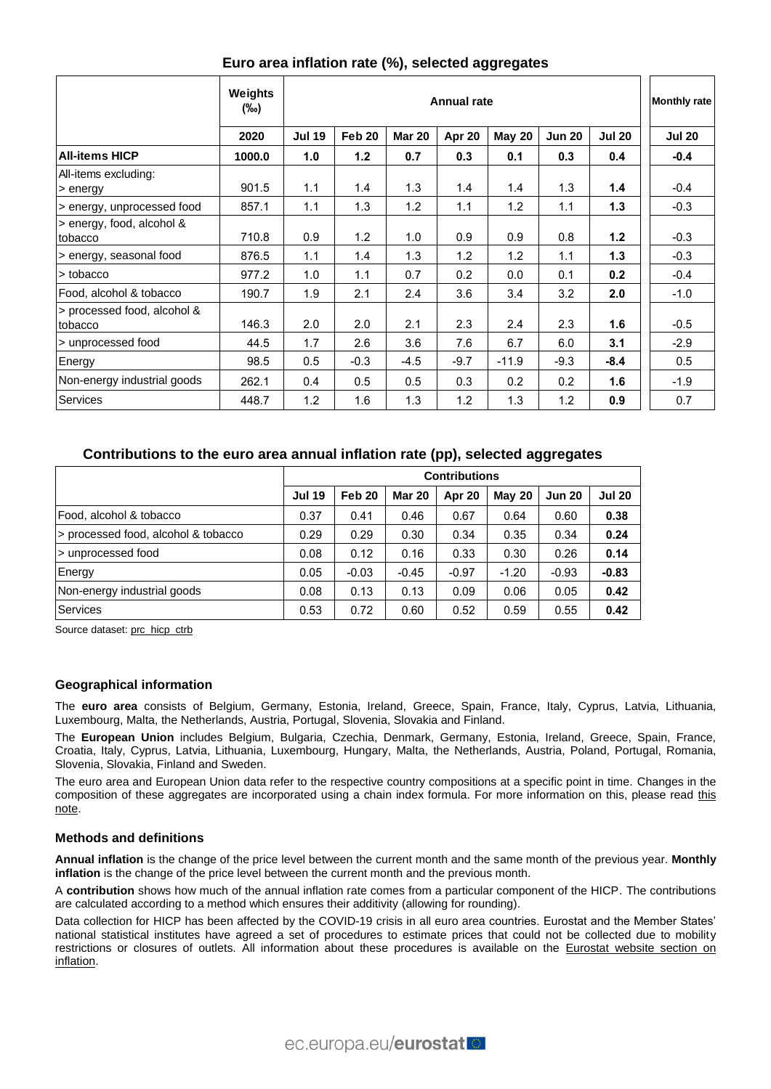|                                        | Weights<br>(‰) |               | <b>Monthly rate</b> |               |        |               |               |               |               |
|----------------------------------------|----------------|---------------|---------------------|---------------|--------|---------------|---------------|---------------|---------------|
|                                        | 2020           | <b>Jul 19</b> | Feb 20              | <b>Mar 20</b> | Apr 20 | <b>May 20</b> | <b>Jun 20</b> | <b>Jul 20</b> | <b>Jul 20</b> |
| <b>All-items HICP</b>                  | 1000.0         | 1.0           | 1.2                 | 0.7           | 0.3    | 0.1           | 0.3           | 0.4           | $-0.4$        |
| All-items excluding:<br>> energy       | 901.5          | 1.1           | 1.4                 | 1.3           | 1.4    | 1.4           | 1.3           | 1.4           | $-0.4$        |
| > energy, unprocessed food             | 857.1          | 1.1           | 1.3                 | 1.2           | 1.1    | 1.2           | 1.1           | 1.3           | $-0.3$        |
| s energy, food, alcohol &<br>tobacco   | 710.8          | 0.9           | 1.2                 | 1.0           | 0.9    | 0.9           | 0.8           | $1.2$         | $-0.3$        |
| > energy, seasonal food                | 876.5          | 1.1           | 1.4                 | 1.3           | 1.2    | 1.2           | 1.1           | 1.3           | $-0.3$        |
| l> tobacco                             | 977.2          | 1.0           | 1.1                 | 0.7           | 0.2    | 0.0           | 0.1           | 0.2           | $-0.4$        |
| Food, alcohol & tobacco                | 190.7          | 1.9           | 2.1                 | 2.4           | 3.6    | 3.4           | 3.2           | 2.0           | $-1.0$        |
| > processed food, alcohol &<br>tobacco | 146.3          | 2.0           | 2.0                 | 2.1           | 2.3    | 2.4           | 2.3           | 1.6           | $-0.5$        |
| > unprocessed food                     | 44.5           | 1.7           | 2.6                 | 3.6           | 7.6    | 6.7           | 6.0           | 3.1           | $-2.9$        |
| Energy                                 | 98.5           | 0.5           | $-0.3$              | $-4.5$        | $-9.7$ | $-11.9$       | $-9.3$        | $-8.4$        | 0.5           |
| Non-energy industrial goods            | 262.1          | 0.4           | 0.5                 | 0.5           | 0.3    | 0.2           | 0.2           | 1.6           | $-1.9$        |
| Services                               | 448.7          | 1.2           | 1.6                 | 1.3           | 1.2    | 1.3           | 1.2           | 0.9           | 0.7           |

## **Euro area inflation rate (%), selected aggregates**

### **Contributions to the euro area annual inflation rate (pp), selected aggregates**

|                                     | <b>Contributions</b> |                   |               |         |               |               |               |  |
|-------------------------------------|----------------------|-------------------|---------------|---------|---------------|---------------|---------------|--|
|                                     | <b>Jul 19</b>        | Feb <sub>20</sub> | <b>Mar 20</b> | Apr 20  | <b>May 20</b> | <b>Jun 20</b> | <b>Jul 20</b> |  |
| Food, alcohol & tobacco             | 0.37                 | 0.41              | 0.46          | 0.67    | 0.64          | 0.60          | 0.38          |  |
| > processed food, alcohol & tobacco | 0.29                 | 0.29              | 0.30          | 0.34    | 0.35          | 0.34          | 0.24          |  |
| > unprocessed food                  | 0.08                 | 0.12              | 0.16          | 0.33    | 0.30          | 0.26          | 0.14          |  |
| Energy                              | 0.05                 | $-0.03$           | $-0.45$       | $-0.97$ | $-1.20$       | $-0.93$       | $-0.83$       |  |
| Non-energy industrial goods         | 0.08                 | 0.13              | 0.13          | 0.09    | 0.06          | 0.05          | 0.42          |  |
| Services                            | 0.53                 | 0.72              | 0.60          | 0.52    | 0.59          | 0.55          | 0.42          |  |

Source dataset: [prc\\_hicp\\_ctrb](https://ec.europa.eu/eurostat/product?code=prc_hicp_ctrb&language=en&mode=view)

#### **Geographical information**

The **euro area** consists of Belgium, Germany, Estonia, Ireland, Greece, Spain, France, Italy, Cyprus, Latvia, Lithuania, Luxembourg, Malta, the Netherlands, Austria, Portugal, Slovenia, Slovakia and Finland.

The **European Union** includes Belgium, Bulgaria, Czechia, Denmark, Germany, Estonia, Ireland, Greece, Spain, France, Croatia, Italy, Cyprus, Latvia, Lithuania, Luxembourg, Hungary, Malta, the Netherlands, Austria, Poland, Portugal, Romania, Slovenia, Slovakia, Finland and Sweden.

The euro area and European Union data refer to the respective country compositions at a specific point in time. Changes in the composition of these aggregates are incorporated using a chain index formula. For more information on [this](https://ec.europa.eu/eurostat/documents/272892/272974/EU-and+EEA-aggregates-calculation-post-Brexit/), please read this [note.](https://ec.europa.eu/eurostat/documents/272892/272974/EU-and+EEA-aggregates-calculation-post-Brexit/)

#### **Methods and definitions**

**Annual inflation** is the change of the price level between the current month and the same month of the previous year. **Monthly inflation** is the change of the price level between the current month and the previous month.

A **contribution** shows how much of the annual inflation rate comes from a particular component of the HICP. The contributions are calculated according to a method which ensures their additivity (allowing for rounding).

Data collection for HICP has been affected by the COVID-19 crisis in all euro area countries. Eurostat and the Member States' national statistical institutes have agreed a set of procedures to estimate prices that could not be collected due to mobility restrictions or closures of outlets. All information about these procedures is available on the Eurostat website section on [inflation.](https://ec.europa.eu/eurostat/web/hicp/methodology)